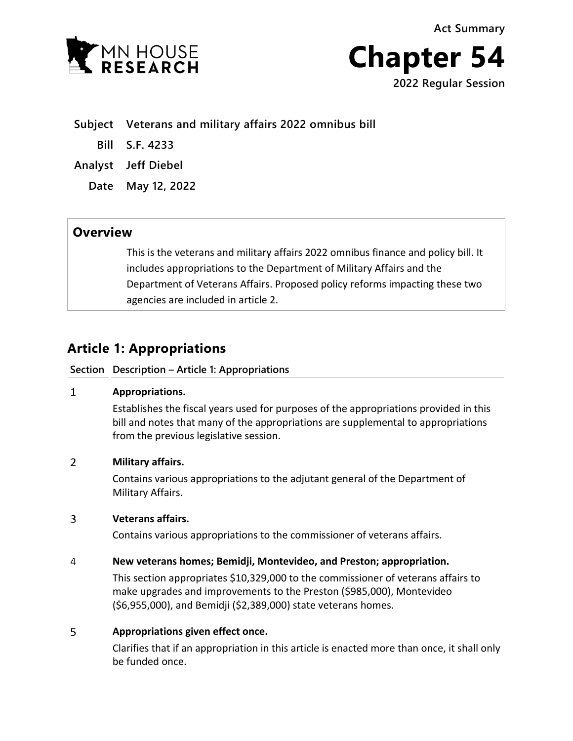



**Subject Veterans and military affairs 2022 omnibus bill**

**Bill S.F. 4233**

**Analyst Jeff Diebel**

**Date May 12, 2022**

## **Overview**

This is the veterans and military affairs 2022 omnibus finance and policy bill. It includes appropriations to the Department of Military Affairs and the Department of Veterans Affairs. Proposed policy reforms impacting these two agencies are included in article 2.

# **Article 1: Appropriations**

### **Section Description – Article 1: Appropriations**

#### $\mathbf{1}$ **Appropriations.**

Establishes the fiscal years used for purposes of the appropriations provided in this bill and notes that many of the appropriations are supplemental to appropriations from the previous legislative session.

#### $\overline{2}$ **Military affairs.**

Contains various appropriations to the adjutant general of the Department of Military Affairs.

#### $\overline{3}$ **Veterans affairs.**

Contains various appropriations to the commissioner of veterans affairs.

#### 4 **New veterans homes; Bemidji, Montevideo, and Preston; appropriation.**

This section appropriates \$10,329,000 to the commissioner of veterans affairs to make upgrades and improvements to the Preston (\$985,000), Montevideo (\$6,955,000), and Bemidji (\$2,389,000) state veterans homes.

#### 5 **Appropriations given effect once.**

Clarifies that if an appropriation in this article is enacted more than once, it shall only be funded once.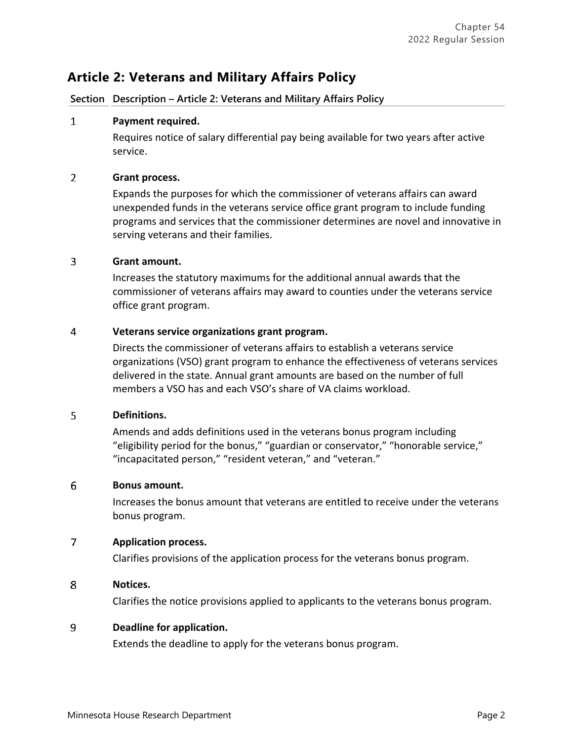## **Article 2: Veterans and Military Affairs Policy**

**Section Description – Article 2: Veterans and Military Affairs Policy**

#### **Payment required.**  $\mathbf{1}$

Requires notice of salary differential pay being available for two years after active service.

#### $\overline{2}$ **Grant process.**

Expands the purposes for which the commissioner of veterans affairs can award unexpended funds in the veterans service office grant program to include funding programs and services that the commissioner determines are novel and innovative in serving veterans and their families.

#### $\overline{3}$ **Grant amount.**

Increases the statutory maximums for the additional annual awards that the commissioner of veterans affairs may award to counties under the veterans service office grant program.

#### 4 **Veterans service organizations grant program.**

Directs the commissioner of veterans affairs to establish a veterans service organizations (VSO) grant program to enhance the effectiveness of veterans services delivered in the state. Annual grant amounts are based on the number of full members a VSO has and each VSO's share of VA claims workload.

#### 5 **Definitions.**

Amends and adds definitions used in the veterans bonus program including "eligibility period for the bonus," "guardian or conservator," "honorable service," "incapacitated person," "resident veteran," and "veteran."

#### 6 **Bonus amount.**

Increases the bonus amount that veterans are entitled to receive under the veterans bonus program.

#### $\overline{7}$ **Application process.**

Clarifies provisions of the application process for the veterans bonus program.

#### 8 **Notices.**

Clarifies the notice provisions applied to applicants to the veterans bonus program.

#### 9 **Deadline for application.**

Extends the deadline to apply for the veterans bonus program.